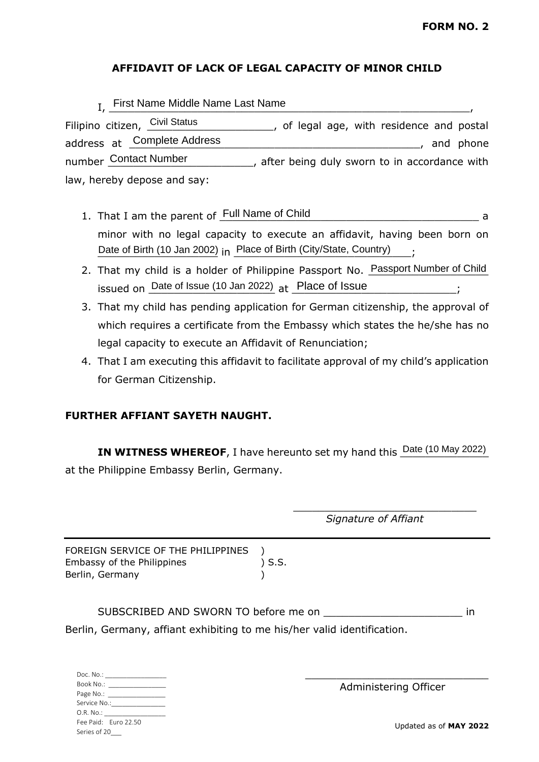# **AFFIDAVIT OF LACK OF LEGAL CAPACITY OF MINOR CHILD**

| I. First Name Middle Name Last Name |                                                |
|-------------------------------------|------------------------------------------------|
| Filipino citizen, Civil Status      | of legal age, with residence and postal        |
| address at Complete Address         | and phone                                      |
| number Contact Number               | , after being duly sworn to in accordance with |
| law, hereby depose and say:         |                                                |

- 1. That I am the parent of Full Name of Child and The Theorem a state of the state of  $\frac{1}{2}$  a minor with no legal capacity to execute an affidavit, having been born on Date of Birth (10 Jan 2002) in Place of Birth (City/State, Country) ...
- 2. That my child is a holder of Philippine Passport No. Passport Number of Child issued on Date of Issue (10 Jan 2022) at Place of Issue entitled by the Superino et al.
- 3. That my child has pending application for German citizenship, the approval of which requires a certificate from the Embassy which states the he/she has no legal capacity to execute an Affidavit of Renunciation;
- 4. That I am executing this affidavit to facilitate approval of my child's application for German Citizenship.

# **FURTHER AFFIANT SAYETH NAUGHT.**

Book No.: Page No.: Service No.: O.R. No.: \_

Fee Paid: Euro 22.50 Series of 20\_\_\_

**IN WITNESS WHEREOF**, I have hereunto set my hand this  $\frac{\text{Date (10 May 2022)}}{2}$ at the Philippine Embassy Berlin, Germany.

Doc. No.:  $\mathcal{L}_\mathcal{L}$  , where  $\mathcal{L}_\mathcal{L}$  is the set of the set of the set of the set of the set of the set of the set of the set of the set of the set of the set of the set of the set of the set of the set of the set of the *Signature of Affiant* FOREIGN SERVICE OF THE PHILIPPINES ) Embassy of the Philippines (3.5.1) Berlin, Germany (1999) SUBSCRIBED AND SWORN TO before me on \_\_\_\_\_\_\_\_\_\_\_\_\_\_\_\_\_\_\_\_\_\_ in Berlin, Germany, affiant exhibiting to me his/her valid identification. \_\_\_\_\_\_\_\_\_\_\_\_\_\_\_\_\_\_\_\_\_\_\_\_\_\_\_\_\_

Updated as of **MAY 2022**

Administering Officer